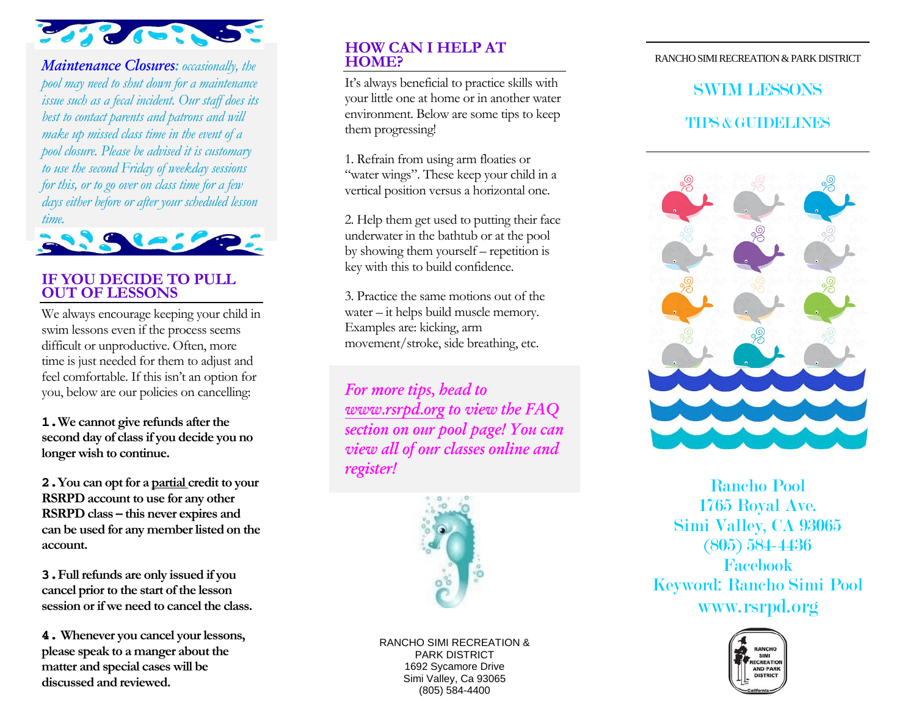

*Maintenance Closures: occasionally, the pool may need to shut down for a maintenance issue such as a fecal incident. Our staff does its best to contact parents and patrons and will make up missed class time in the event of a pool closure. Please be advised it is customary to use the second Friday of weekday sessions for this, or to go over on class time for a few days either before or after your scheduled lesson time.* 



## **IF YOU DECIDE TO PULL OUT OF LESSONS**

We always encourage keeping your child in swim lessons even if the process seems difficult or unproductive. Often, more time is just needed for them to adjust and feel comfortable. If this isn't an option for you, below are our policies on cancelling:

**1.We cannot give refunds after the second day of class if you decide you no longer wish to continue.**

**2.You can opt for a partial credit to your RSRPD account to use for any other RSRPD class – this never expires and can be used for any member listed on the account.**

**3.Full refunds are only issued if you cancel prior to the start of the lesson session or if we need to cancel the class.**

**4. Whenever you cancel your lessons, please speak to a manger about the matter and special cases will be discussed and reviewed.** 

### **HOW CAN I HELP AT HOME?**

It's always beneficial to practice skills with your little one at home or in another water environment. Below are some tips to keep them progressing!

1. Refrain from using arm floaties or "water wings". These keep your child in a vertical position versus a horizontal one.

2. Help them get used to putting their face underwater in the bathtub or at the pool by showing them yourself – repetition is key with this to build confidence.

3. Practice the same motions out of the water – it helps build muscle memory. Examples are: kicking, arm movement/stroke, side breathing, etc.

*For more tips, head to [www.rsrp](http://www.rsrpd.org/)d.org to view the FAQ section on our pool page! You can view all of our classes online and register!* 



RANCHO SIMI RECREATION & PARK DISTRICT 1692 Sycamore Drive Simi Valley, Ca 93065 (805) 584-4400

#### RANCHO SIMI RECREATION & PARK DISTRICT

# SWIM LESSONS TIPS & GUIDELINES



Rancho Pool 1765 Royal Ave. Simi Valley, CA 93065 (805) 584-4436 Facebook Keyword: Rancho Simi Pool www.rsrpd.org